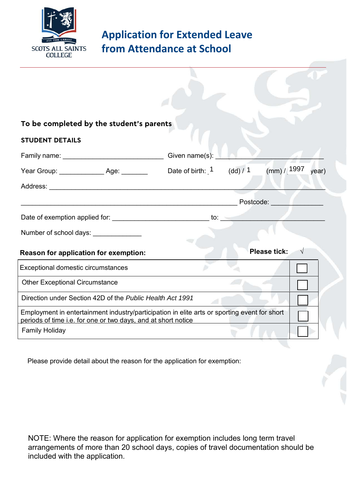

## **Application for Extended Leave from Attendance at School**

| To be completed by the student's parents                                                                                                                      |                             |            |                      |  |
|---------------------------------------------------------------------------------------------------------------------------------------------------------------|-----------------------------|------------|----------------------|--|
| <b>STUDENT DETAILS</b>                                                                                                                                        |                             |            |                      |  |
|                                                                                                                                                               | Given name(s):              |            |                      |  |
| Year Group: ______________________ Age: _________                                                                                                             | Date of birth: <sup>1</sup> | (dd) / $1$ | (mm) / 1997<br>year) |  |
|                                                                                                                                                               |                             |            |                      |  |
|                                                                                                                                                               |                             |            | Postcode:            |  |
| Date of exemption applied for: exercise to: exercise to: exercise to: exercise to:                                                                            |                             |            |                      |  |
| Number of school days: _______________                                                                                                                        |                             |            |                      |  |
| Reason for application for exemption:                                                                                                                         |                             |            | <b>Please tick:</b>  |  |
| Exceptional domestic circumstances                                                                                                                            |                             |            |                      |  |
| <b>Other Exceptional Circumstance</b>                                                                                                                         |                             |            |                      |  |
| Direction under Section 42D of the Public Health Act 1991                                                                                                     |                             |            |                      |  |
| Employment in entertainment industry/participation in elite arts or sporting event for short<br>periods of time i.e. for one or two days, and at short notice |                             |            |                      |  |
| <b>Family Holiday</b>                                                                                                                                         |                             |            |                      |  |

Please provide detail about the reason for the application for exemption:

NOTE: Where the reason for application for exemption includes long term travel arrangements of more than 20 school days, copies of travel documentation should be included with the application.